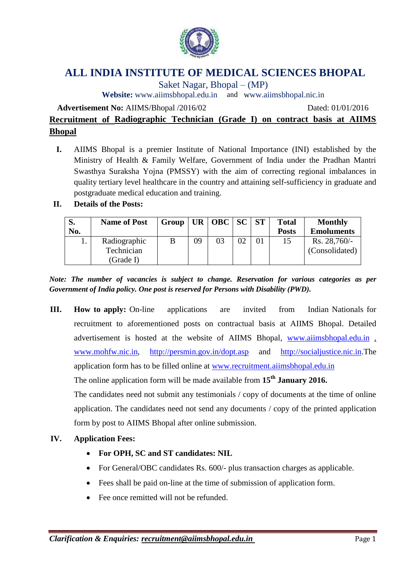

# **ALL INDIA INSTITUTE OF MEDICAL SCIENCES BHOPAL**

Saket Nagar, Bhopal – (MP)

**Website:** [www.aiimsbhopal.edu.in](http://www.aiimsbhopal.edu.in/) and www.aiimsbhopal.nic.in

**Advertisement No:** AIIMS/Bhopal /2016/02 Dated: 01/01/2016

# **Recruitment of Radiographic Technician (Grade I) on contract basis at AIIMS Bhopal**

**I.** AIIMS Bhopal is a premier Institute of National Importance (INI) established by the Ministry of Health & Family Welfare, Government of India under the Pradhan Mantri Swasthya Suraksha Yojna (PMSSY) with the aim of correcting regional imbalances in quality tertiary level healthcare in the country and attaining self-sufficiency in graduate and postgraduate medical education and training.

### **II. Details of the Posts:**

| S.  | <b>Name of Post</b> | Group   UR   OBC   SC   ST |    |    |    | <b>Total</b> | <b>Monthly</b>    |
|-----|---------------------|----------------------------|----|----|----|--------------|-------------------|
| No. |                     |                            |    |    |    | <b>Posts</b> | <b>Emoluments</b> |
| ī.  | Radiographic        |                            | 09 | 03 | 02 | 15           | $Rs. 28,760/-$    |
|     | Technician          |                            |    |    |    |              | (Consolidated)    |
|     | (Grade I)           |                            |    |    |    |              |                   |

*Note: The number of vacancies is subject to change. Reservation for various categories as per Government of India policy. One post is reserved for Persons with Disability (PWD).*

**III. How to apply:** On-line applications are invited from Indian Nationals for recruitment to aforementioned posts on contractual basis at AIIMS Bhopal. Detailed advertisement is hosted at the website of AIIMS Bhopal, [www.aiimsbhopal.edu.in](http://www.aiimsbhopal.edu.in/) [,](http://,/) [www.mohfw.nic.in,](http://www.mohfw.nic.in/) <http://persmin.gov.in/dopt.asp> and [http://socialjustice.nic.in.](http://socialjustice.nic.in/)The application form has to be filled online at [www.recruitment.aiimsbhopal.edu.in](http://www.recruitment.aiimsbhopal.ed/)

The online application form will be made available from **15th January 2016.**

The candidates need not submit any testimonials / copy of documents at the time of online application. The candidates need not send any documents / copy of the printed application form by post to AIIMS Bhopal after online submission.

#### **IV. Application Fees:**

- **For OPH, SC and ST candidates: NIL**
- For General/OBC candidates Rs. 600/- plus transaction charges as applicable.
- Fees shall be paid on-line at the time of submission of application form.
- Fee once remitted will not be refunded.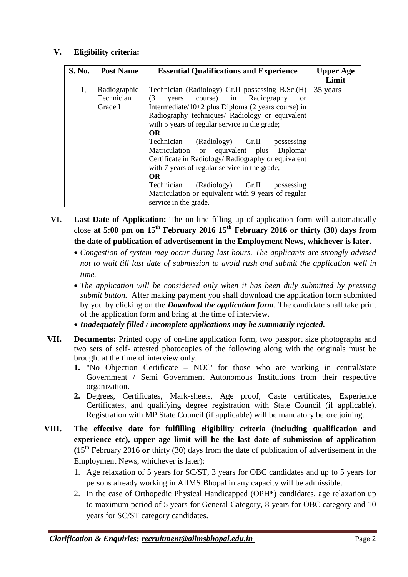#### **V. Eligibility criteria:**

| S. No. | <b>Post Name</b>                      | <b>Essential Qualifications and Experience</b>                                                                                                                                                                                                                                                                                                                                                                                                                                                     | Upper Age<br>Limit |
|--------|---------------------------------------|----------------------------------------------------------------------------------------------------------------------------------------------------------------------------------------------------------------------------------------------------------------------------------------------------------------------------------------------------------------------------------------------------------------------------------------------------------------------------------------------------|--------------------|
| 1.     | Radiographic<br>Technician<br>Grade I | Technician (Radiology) Gr.II possessing B.Sc.(H)<br>years course) in Radiography<br>(3)<br><sub>or</sub><br>Intermediate/ $10+2$ plus Diploma (2 years course) in<br>Radiography techniques/ Radiology or equivalent<br>with 5 years of regular service in the grade;<br><b>OR</b><br>Technician<br>(Radiology) Gr.II possessing<br>Matriculation or equivalent plus Diploma/<br>Certificate in Radiology/ Radiography or equivalent<br>with 7 years of regular service in the grade;<br><b>OR</b> | 35 years           |
|        |                                       | Technician<br>(Radiology) Gr.II<br>possessing<br>Matriculation or equivalent with 9 years of regular<br>service in the grade.                                                                                                                                                                                                                                                                                                                                                                      |                    |

- **VI. Last Date of Application:** The on-line filling up of application form will automatically close **at 5:00 pm on 15th February 2016 15th February 2016 or thirty (30) days from the date of publication of advertisement in the Employment News, whichever is later.**
	- *Congestion of system may occur during last hours. The applicants are strongly advised not to wait till last date of submission to avoid rush and submit the application well in time.*
	- *The application will be considered only when it has been duly submitted by pressing submit button.* After making payment you shall download the application form submitted by you by clicking on the *Download the application form.* The candidate shall take print of the application form and bring at the time of interview.
	- *Inadequately filled / incomplete applications may be summarily rejected.*
- **VII. Documents:** Printed copy of on-line application form, two passport size photographs and two sets of self- attested photocopies of the following along with the originals must be brought at the time of interview only.
	- **1.** "No Objection Certificate NOC' for those who are working in central/state Government / Semi Government Autonomous Institutions from their respective organization.
	- **2.** Degrees, Certificates, Mark-sheets, Age proof, Caste certificates, Experience Certificates, and qualifying degree registration with State Council (if applicable). Registration with MP State Council (if applicable) will be mandatory before joining.
- **VIII. The effective date for fulfilling eligibility criteria (including qualification and experience etc), upper age limit will be the last date of submission of application (**15th February 2016 **or** thirty (30) days from the date of publication of advertisement in the Employment News, whichever is later):
	- 1. Age relaxation of 5 years for SC/ST, 3 years for OBC candidates and up to 5 years for persons already working in AIIMS Bhopal in any capacity will be admissible.
	- 2. In the case of Orthopedic Physical Handicapped (OPH\*) candidates, age relaxation up to maximum period of 5 years for General Category, 8 years for OBC category and 10 years for SC/ST category candidates.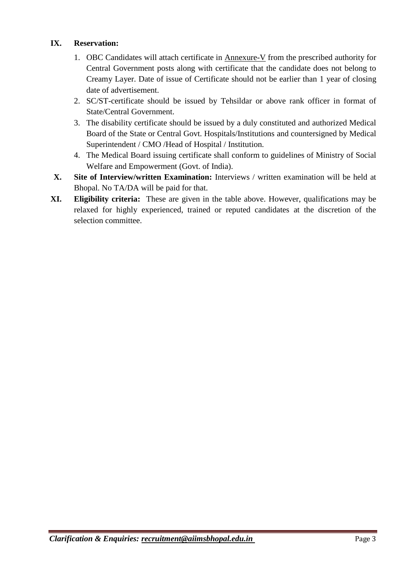#### **IX. Reservation:**

- 1. OBC Candidates will attach certificate in Annexure-V from the prescribed authority for Central Government posts along with certificate that the candidate does not belong to Creamy Layer. Date of issue of Certificate should not be earlier than 1 year of closing date of advertisement.
- 2. SC/ST-certificate should be issued by Tehsildar or above rank officer in format of State/Central Government.
- 3. The disability certificate should be issued by a duly constituted and authorized Medical Board of the State or Central Govt. Hospitals/Institutions and countersigned by Medical Superintendent / CMO /Head of Hospital / Institution.
- 4. The Medical Board issuing certificate shall conform to guidelines of Ministry of Social Welfare and Empowerment (Govt. of India).
- **X. Site of Interview/written Examination:** Interviews / written examination will be held at Bhopal. No TA/DA will be paid for that.
- **XI. Eligibility criteria:** These are given in the table above. However, qualifications may be relaxed for highly experienced, trained or reputed candidates at the discretion of the selection committee.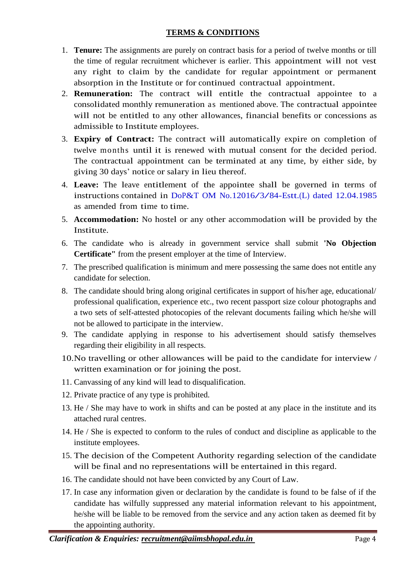#### **TERMS & CONDITIONS**

- 1. **Tenure:** The assignments are purely on contract basis for a period of twelve months or till the time of regular recruitment whichever is earlier. This appointment will not vest any right to claim by the candidate for regular appointment or permanent absorption in the Institute or for continued contractual appointment.
- 2. **Remuneration:** The contract will entitle the contractual appointee to a consolidated monthly remuneration as mentioned above. The contractual appointee will not be entitled to any other allowances, financial benefits or concessions as admissible to Institute employees.
- 3. **Expiry of Contract:** The contract will automatically expire on completion of twelve months until it is renewed with mutual consent for the decided period. The contractual appointment can be terminated at any time, by either side, by giving 30 days' notice or salary in lieu thereof.
- 4. **Leave:** The leave entitlement of the appointee shall be governed in terms of instructions contained in DoP&T OM No.12016/3/84-Estt.(L) dated 12.04.1985 as amended from time to time.
- 5. **Accommodation:** No hostel or any other accommodation will be provided by the Institute.
- 6. The candidate who is already in government service shall submit **'No Objection Certificate"** from the present employer at the time of Interview.
- 7. The prescribed qualification is minimum and mere possessing the same does not entitle any candidate for selection.
- 8. The candidate should bring along original certificates in support of his/her age, educational/ professional qualification, experience etc., two recent passport size colour photographs and a two sets of self-attested photocopies of the relevant documents failing which he/she will not be allowed to participate in the interview.
- 9. The candidate applying in response to his advertisement should satisfy themselves regarding their eligibility in all respects.
- 10.No travelling or other allowances will be paid to the candidate for interview / written examination or for joining the post.
- 11. Canvassing of any kind will lead to disqualification.
- 12. Private practice of any type is prohibited.
- 13. He / She may have to work in shifts and can be posted at any place in the institute and its attached rural centres.
- 14. He / She is expected to conform to the rules of conduct and discipline as applicable to the institute employees.
- 15. The decision of the Competent Authority regarding selection of the candidate will be final and no representations will be entertained in this regard.
- 16. The candidate should not have been convicted by any Court of Law.
- 17. In case any information given or declaration by the candidate is found to be false of if the candidate has wilfully suppressed any material information relevant to his appointment, he/she will be liable to be removed from the service and any action taken as deemed fit by the appointing authority.